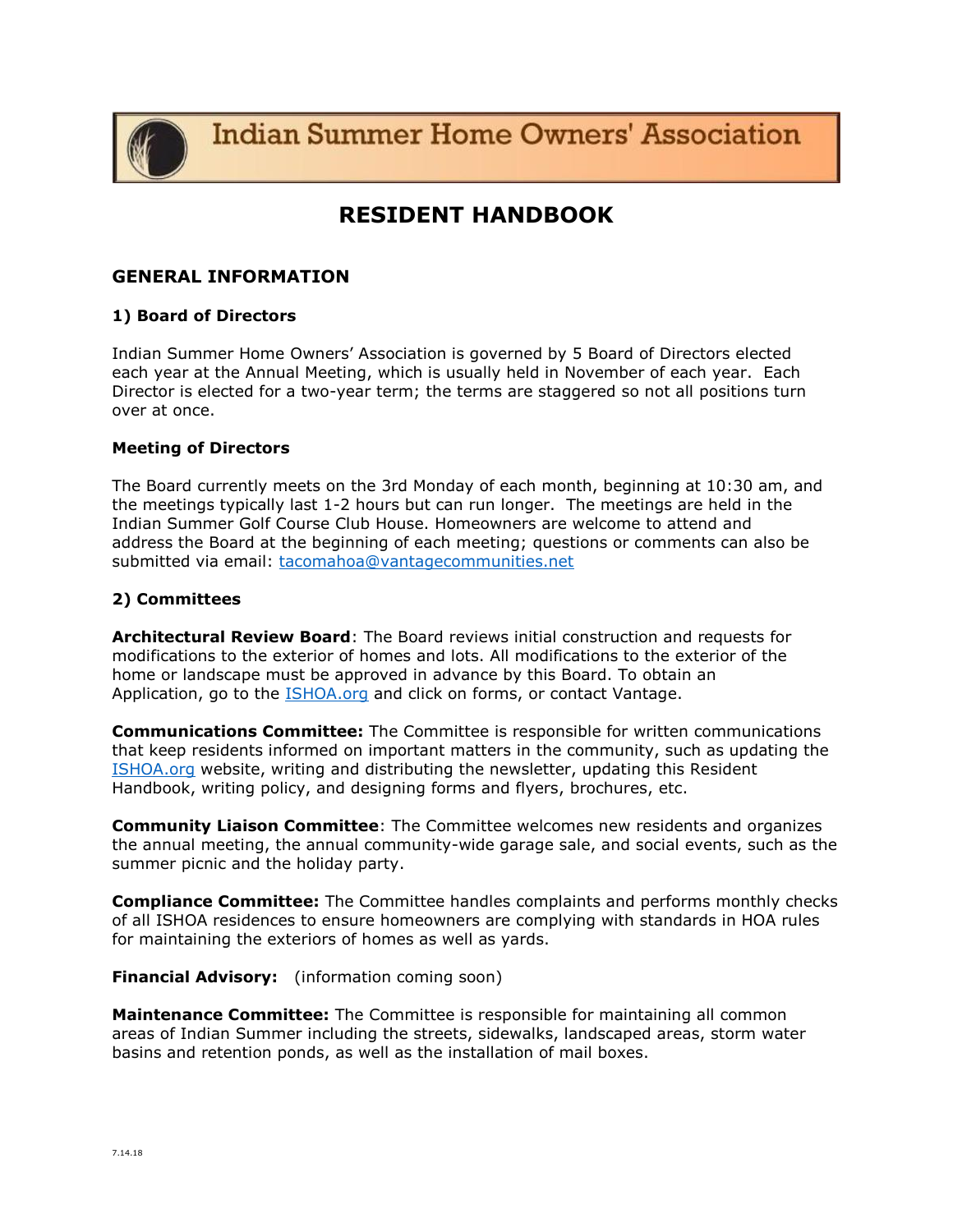**Indian Summer Home Owners' Association** 

# **RESIDENT HANDBOOK**

# **GENERAL INFORMATION**

# **1) Board of Directors**

Indian Summer Home Owners' Association is governed by 5 Board of Directors elected each year at the Annual Meeting, which is usually held in November of each year. Each Director is elected for a two-year term; the terms are staggered so not all positions turn over at once.

# **Meeting of Directors**

The Board currently meets on the 3rd Monday of each month, beginning at 10:30 am, and the meetings typically last 1-2 hours but can run longer. The meetings are held in the Indian Summer Golf Course Club House. Homeowners are welcome to attend and address the Board at the beginning of each meeting; questions or comments can also be submitted via email: [tacomahoa@vantagecommunities.net](mailto:tacomahoa@vantagecommunities.net)

# **2) Committees**

**Architectural Review Board**: The Board reviews initial construction and requests for modifications to the exterior of homes and lots. All modifications to the exterior of the home or landscape must be approved in advance by this Board. To obtain an Application, go to the **ISHOA.org** and click on forms, or contact Vantage.

**Communications Committee:** The Committee is responsible for written communications that keep residents informed on important matters in the community, such as updating the [ISHOA.org](http://www.ishoa.org/) website, writing and distributing the newsletter, updating this Resident Handbook, writing policy, and designing forms and flyers, brochures, etc.

**Community Liaison Committee**: The Committee welcomes new residents and organizes the annual meeting, the annual community-wide garage sale, and social events, such as the summer picnic and the holiday party.

**Compliance Committee:** The Committee handles complaints and performs monthly checks of all ISHOA residences to ensure homeowners are complying with standards in HOA rules for maintaining the exteriors of homes as well as yards.

**Financial Advisory:** (information coming soon)

**Maintenance Committee:** The Committee is responsible for maintaining all common areas of Indian Summer including the streets, sidewalks, landscaped areas, storm water basins and retention ponds, as well as the installation of mail boxes.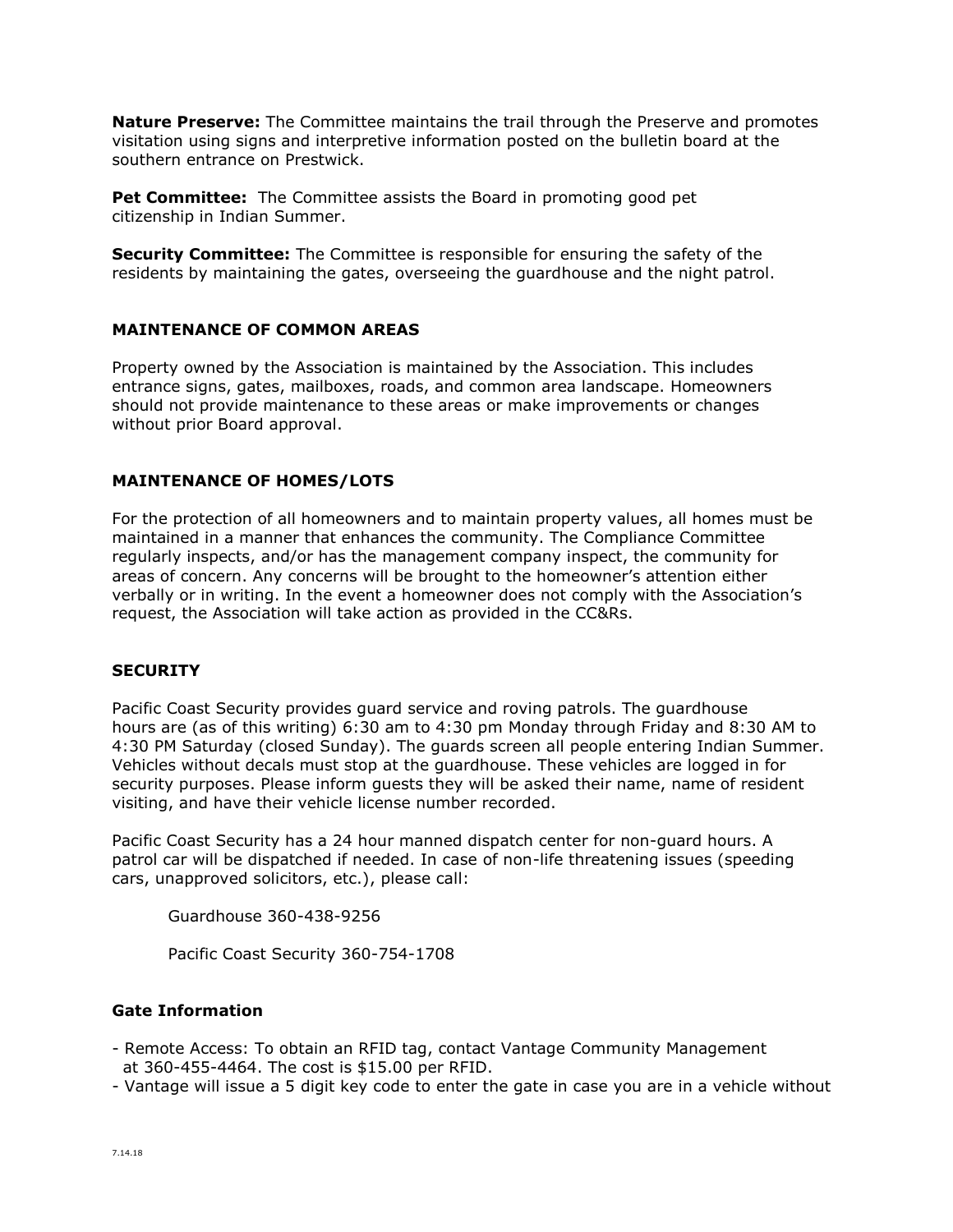**Nature Preserve:** The Committee maintains the trail through the Preserve and promotes visitation using signs and interpretive information posted on the bulletin board at the southern entrance on Prestwick.

**Pet Committee:** The Committee assists the Board in promoting good pet citizenship in Indian Summer.

**Security Committee:** The Committee is responsible for ensuring the safety of the residents by maintaining the gates, overseeing the guardhouse and the night patrol.

# **MAINTENANCE OF COMMON AREAS**

Property owned by the Association is maintained by the Association. This includes entrance signs, gates, mailboxes, roads, and common area landscape. Homeowners should not provide maintenance to these areas or make improvements or changes without prior Board approval.

#### **MAINTENANCE OF HOMES/LOTS**

For the protection of all homeowners and to maintain property values, all homes must be maintained in a manner that enhances the community. The Compliance Committee regularly inspects, and/or has the management company inspect, the community for areas of concern. Any concerns will be brought to the homeowner's attention either verbally or in writing. In the event a homeowner does not comply with the Association's request, the Association will take action as provided in the CC&Rs.

#### **SECURITY**

Pacific Coast Security provides guard service and roving patrols. The guardhouse hours are (as of this writing) 6:30 am to 4:30 pm Monday through Friday and 8:30 AM to 4:30 PM Saturday (closed Sunday). The guards screen all people entering Indian Summer. Vehicles without decals must stop at the guardhouse. These vehicles are logged in for security purposes. Please inform guests they will be asked their name, name of resident visiting, and have their vehicle license number recorded.

Pacific Coast Security has a 24 hour manned dispatch center for non-guard hours. A patrol car will be dispatched if needed. In case of non-life threatening issues (speeding cars, unapproved solicitors, etc.), please call:

Guardhouse 360-438-9256

Pacific Coast Security 360-754-1708

#### **Gate Information**

- Remote Access: To obtain an RFID tag, contact Vantage Community Management at 360-455-4464. The cost is \$15.00 per RFID.
- Vantage will issue a 5 digit key code to enter the gate in case you are in a vehicle without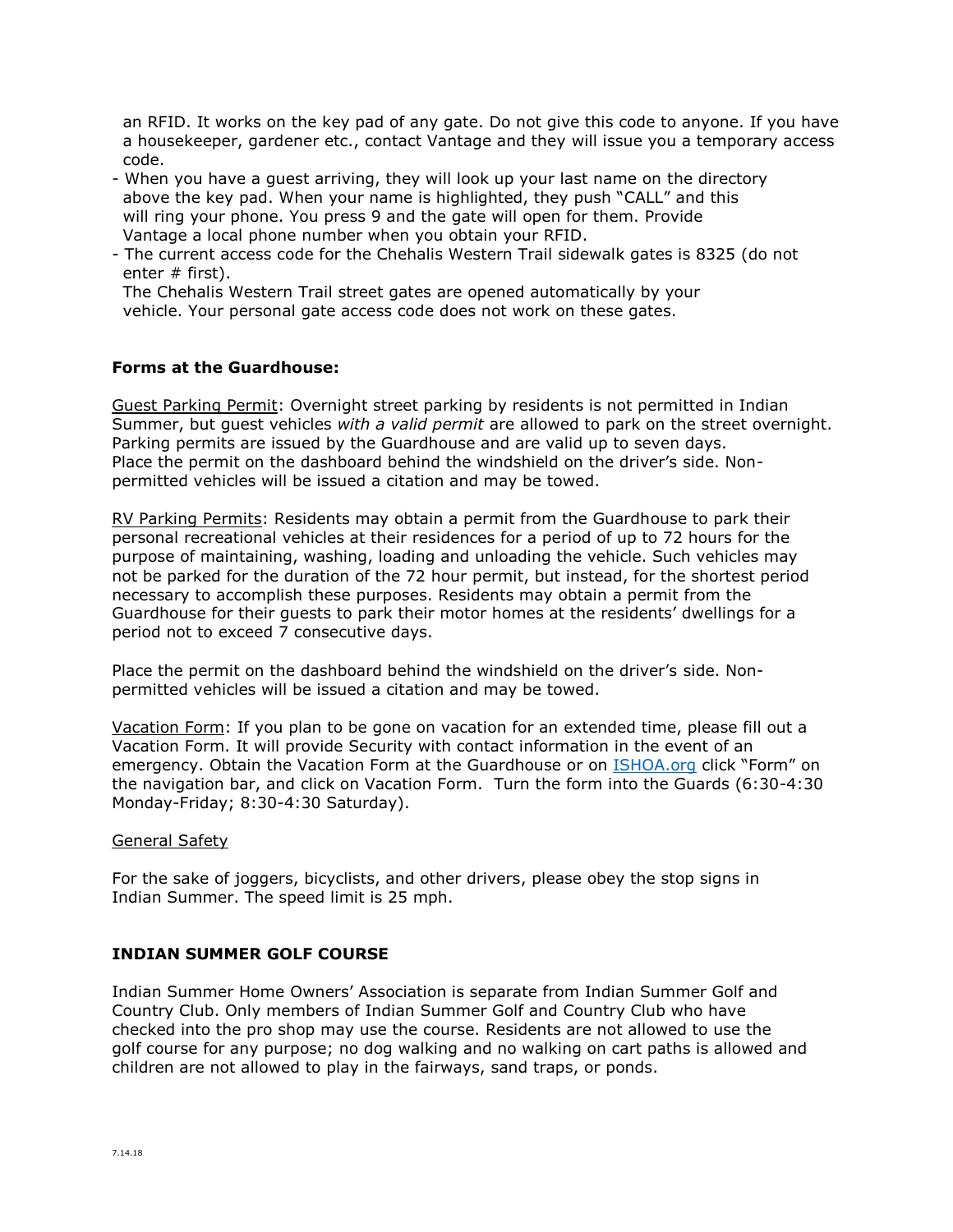an RFID. It works on the key pad of any gate. Do not give this code to anyone. If you have a housekeeper, gardener etc., contact Vantage and they will issue you a temporary access code.

- When you have a guest arriving, they will look up your last name on the directory above the key pad. When your name is highlighted, they push "CALL" and this will ring your phone. You press 9 and the gate will open for them. Provide Vantage a local phone number when you obtain your RFID.
- The current access code for the Chehalis Western Trail sidewalk gates is 8325 (do not enter # first).

 The Chehalis Western Trail street gates are opened automatically by your vehicle. Your personal gate access code does not work on these gates.

# **Forms at the Guardhouse:**

Guest Parking Permit: Overnight street parking by residents is not permitted in Indian Summer, but guest vehicles *with a valid permit* are allowed to park on the street overnight. Parking permits are issued by the Guardhouse and are valid up to seven days. Place the permit on the dashboard behind the windshield on the driver's side. Nonpermitted vehicles will be issued a citation and may be towed.

RV Parking Permits: Residents may obtain a permit from the Guardhouse to park their personal recreational vehicles at their residences for a period of up to 72 hours for the purpose of maintaining, washing, loading and unloading the vehicle. Such vehicles may not be parked for the duration of the 72 hour permit, but instead, for the shortest period necessary to accomplish these purposes. Residents may obtain a permit from the Guardhouse for their guests to park their motor homes at the residents' dwellings for a period not to exceed 7 consecutive days.

Place the permit on the dashboard behind the windshield on the driver's side. Nonpermitted vehicles will be issued a citation and may be towed.

Vacation Form: If you plan to be gone on vacation for an extended time, please fill out a Vacation Form. It will provide Security with contact information in the event of an emergency. Obtain the Vacation Form at the Guardhouse or on [ISHOA.org](http://www.ishoa.org/) click "Form" on the navigation bar, and click on Vacation Form. Turn the form into the Guards (6:30-4:30 Monday-Friday; 8:30-4:30 Saturday).

# General Safety

For the sake of joggers, bicyclists, and other drivers, please obey the stop signs in Indian Summer. The speed limit is 25 mph.

# **INDIAN SUMMER GOLF COURSE**

Indian Summer Home Owners' Association is separate from Indian Summer Golf and Country Club. Only members of Indian Summer Golf and Country Club who have checked into the pro shop may use the course. Residents are not allowed to use the golf course for any purpose; no dog walking and no walking on cart paths is allowed and children are not allowed to play in the fairways, sand traps, or ponds.